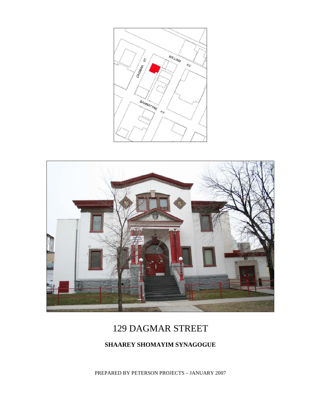



# 129 DAGMAR STREET

### **SHAAREY SHOMAYIM SYNAGOGUE**

PREPARED BY PETERSON PROJECTS – JANUARY 2007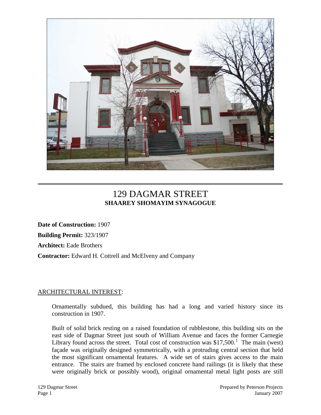

## 129 DAGMAR STREET **SHAAREY SHOMAYIM SYNAGOGUE**

**Date of Construction:** 1907 **Building Permit:** 323/1907 **Architect:** Eade Brothers **Contractor:** Edward H. Cottrell and McElveny and Company

#### ARCHITECTURAL INTEREST:

Ornamentally subdued, this building has had a long and varied history since its construction in 1907.

Built of solid brick resting on a raised foundation of rubblestone, this building sits on the east side of Dagmar Street just south of William Avenue and faces the former Carnegie Library found across the street. Total cost of construction was  $$17,500$  $$17,500$  $$17,500$ .<sup>1</sup> The main (west) façade was originally designed symmetrically, with a protruding central section that held the most significant ornamental features. A wide set of stairs gives access to the main entrance. The stairs are framed by enclosed concrete hand railings (it is likely that these were originally brick or possibly wood), original ornamental metal light posts are still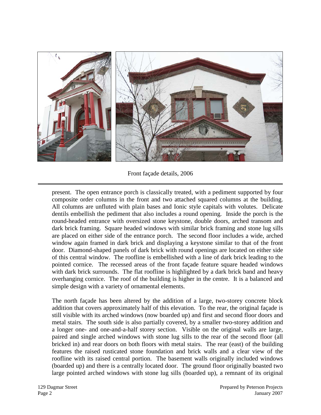

Front façade details, 2006

present. The open entrance porch is classically treated, with a pediment supported by four composite order columns in the front and two attached squared columns at the building. All columns are unfluted with plain bases and Ionic style capitals with volutes. Delicate dentils embellish the pediment that also includes a round opening. Inside the porch is the round-headed entrance with oversized stone keystone, double doors, arched transom and dark brick framing. Square headed windows with similar brick framing and stone lug sills are placed on either side of the entrance porch. The second floor includes a wide, arched window again framed in dark brick and displaying a keystone similar to that of the front door. Diamond-shaped panels of dark brick with round openings are located on either side of this central window. The roofline is embellished with a line of dark brick leading to the pointed cornice. The recessed areas of the front façade feature square headed windows with dark brick surrounds. The flat roofline is highlighted by a dark brick band and heavy overhanging cornice. The roof of the building is higher in the centre. It is a balanced and simple design with a variety of ornamental elements.

The north façade has been altered by the addition of a large, two-storey concrete block addition that covers approximately half of this elevation. To the rear, the original façade is still visible with its arched windows (now boarded up) and first and second floor doors and metal stairs. The south side is also partially covered, by a smaller two-storey addition and a longer one- and one-and-a-half storey section. Visible on the original walls are large, paired and single arched windows with stone lug sills to the rear of the second floor (all bricked in) and rear doors on both floors with metal stairs. The rear (east) of the building features the raised rusticated stone foundation and brick walls and a clear view of the roofline with its raised central portion. The basement walls originally included windows (boarded up) and there is a centrally located door. The ground floor originally boasted two large pointed arched windows with stone lug sills (boarded up), a remnant of its original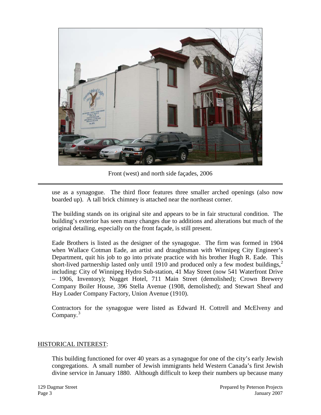

Front (west) and north side façades, 2006

use as a synagogue. The third floor features three smaller arched openings (also now boarded up). A tall brick chimney is attached near the northeast corner.

The building stands on its original site and appears to be in fair structural condition. The building's exterior has seen many changes due to additions and alterations but much of the original detailing, especially on the front façade, is still present.

Eade Brothers is listed as the designer of the synagogue. The firm was formed in 1904 when Wallace Cotman Eade, an artist and draughtsman with Winnipeg City Engineer's Department, quit his job to go into private practice with his brother Hugh R. Eade. This short-lived partnership lasted only until 1910 and produced only a few modest buildings, $^{2}$  $^{2}$  $^{2}$ including: City of Winnipeg Hydro Sub-station, 41 May Street (now 541 Waterfront Drive – 1906, Inventory); Nugget Hotel, 711 Main Street (demolished); Crown Brewery Company Boiler House, 396 Stella Avenue (1908, demolished); and Stewart Sheaf and Hay Loader Company Factory, Union Avenue (1910).

Contractors for the synagogue were listed as Edward H. Cottrell and McElveny and Company.<sup>[3](#page-7-2)</sup>

#### HISTORICAL INTEREST:

This building functioned for over 40 years as a synagogue for one of the city's early Jewish congregations. A small number of Jewish immigrants held Western Canada's first Jewish divine service in January 1880. Although difficult to keep their numbers up because many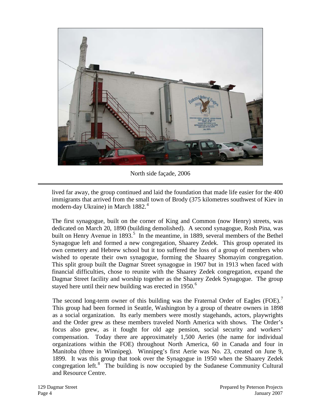

North side façade, 2006

lived far away, the group continued and laid the foundation that made life easier for the 400 immigrants that arrived from the small town of Brody (375 kilometres southwest of Kiev in modern-day Ukraine) in March 1882.<sup>[4](#page-7-3)</sup>

The first synagogue, built on the corner of King and Common (now Henry) streets, was dedicated on March 20, 1890 (building demolished). A second synagogue, Rosh Pina, was built on Henry Avenue in 1893.<sup>[5](#page-7-4)</sup> In the meantime, in 1889, several members of the Bethel Synagogue left and formed a new congregation, Shaarey Zedek. This group operated its own cemetery and Hebrew school but it too suffered the loss of a group of members who wished to operate their own synagogue, forming the Shaarey Shomayim congregation. This split group built the Dagmar Street synagogue in 1907 but in 1913 when faced with financial difficulties, chose to reunite with the Shaarey Zedek congregation, expand the Dagmar Street facility and worship together as the Shaarey Zedek Synagogue. The group stayed here until their new building was erected in  $1950$ .<sup>[6](#page-7-5)</sup>

The second long-term owner of this building was the Fraternal Order of Eagles (FOE).<sup>[7](#page-7-6)</sup> This group had been formed in Seattle, Washington by a group of theatre owners in 1898 as a social organization. Its early members were mostly stagehands, actors, playwrights and the Order grew as these members traveled North America with shows. The Order's focus also grew, as it fought for old age pension, social security and workers' compensation. Today there are approximately 1,500 Aeries (the name for individual organizations within the FOE) throughout North America, 60 in Canada and four in Manitoba (three in Winnipeg). Winnipeg's first Aerie was No. 23, created on June 9, 1899. It was this group that took over the Synagogue in 1950 when the Shaarey Zedek congregation left.<sup>[8](#page-7-7)</sup> The building is now occupied by the Sudanese Community Cultural and Resource Centre.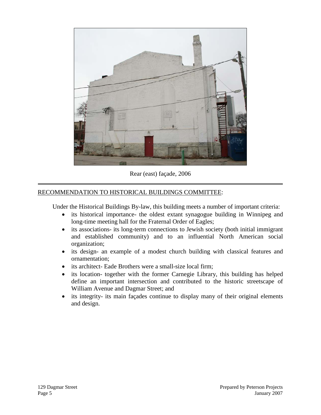

Rear (east) façade, 2006

#### RECOMMENDATION TO HISTORICAL BUILDINGS COMMITTEE:

Under the Historical Buildings By-law, this building meets a number of important criteria:

- its historical importance- the oldest extant synagogue building in Winnipeg and long-time meeting hall for the Fraternal Order of Eagles;
- its associations- its long-term connections to Jewish society (both initial immigrant and established community) and to an influential North American social organization;
- its design- an example of a modest church building with classical features and ornamentation;
- its architect- Eade Brothers were a small-size local firm;
- its location- together with the former Carnegie Library, this building has helped define an important intersection and contributed to the historic streetscape of William Avenue and Dagmar Street; and
- its integrity- its main façades continue to display many of their original elements and design.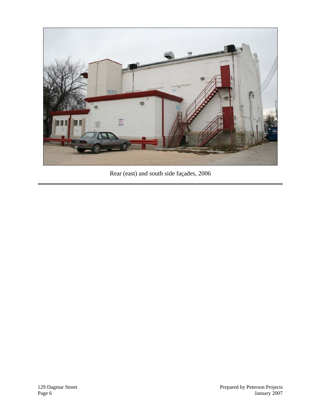

Rear (east) and south side façades, 2006